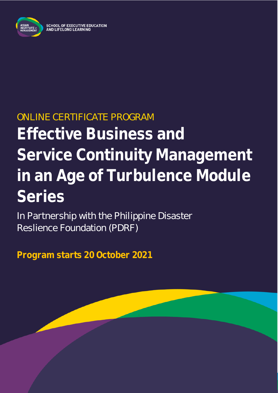

# ONLINE CERTIFICATE PROGRAM **Effective Business and Service Continuity Management in an Age of Turbulence Module Series**

In Partnership with the Philippine Disaster Reslience Foundation (PDRF)

**Program starts 20 October 2021**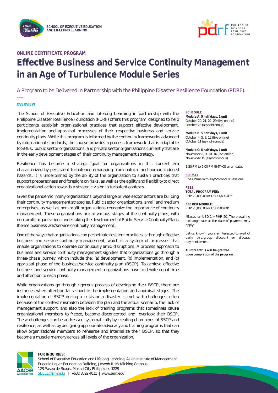



#### **ONLINE CERTIFICATE PROGRAM**

## **Effective Business and Service Continuity Management in an Age of Turbulence Module Series**

#### A Program to be Delivered in Partnership with the Philippine Disaster Resilience Foundation (PDRF).

#### **OVERVIEW**

**\_\_\_**

The School of Executive Education and Lifelong Learning in partnership with the Philippine Disaster Resilience Foundation (PDRF) offers this program designed to help participants establish organizational practices that support effective development, implementation and appraisal processes of their respective business and service continuity plans. While this program is informed by the continuity frameworks advanced by international standards, the course provides a process framework that is adaptable to SMEs, public sector organizations, and private sector organizations currently that are in the early development stages of their continuity management strategy.

Resilience has become a strategic goal for organizations in this current era characterized by persistent turbulence emanating from natural and human-induced hazards. It is underpinned by the ability of the organization to sustain practices that support preparedness and foresight on risks, as well as the agility and flexibility to direct organizational action towards a strategic vision in turbulent contexts.

Given the pandemic, many organizations beyond large private sector actors are building their continuity management strategies. Public sector organizations, small and medium enterprises, as well as non-profit organizations recognize the importance of continuity management. These organizations are at various stages of the continuity plans, with non-profit organizations undertaking the development of Public Service Continuity Plans (hence business *and* service continuity management).

One of the ways that organizations can perpetuate resilient practices is through effective business and service continuity management, which is a system of processes that enable organizations to operate continuously amid disruptions. A process approach to business and service continuity management signifies that organizations go through a three-phase journey, which include the: (a) development, (b) implementation, and (c) appraisal phase of the business/service continuity plan (BSCP). To achieve effective business and service continuity management, organizations have to devote equal time and attention to each phase.

While organizations go through rigorous process of developing their BSCP, there are instances when attention falls short in the implementation and appraisal stages. The implementation of BSCP during a crisis or a disaster is met with challenges, often because of the context mismatch between the plan and the actual scenario, the lack of management support, and also the lack of training programs that sometimes cause organizational members to freeze, become disconcerted, and overlook their BSCP. These challenges can be addressed systematically by creating champions of BSCP and resilience, as well as by designing appropriate advocacy and training programs that can allow organizational members to rehearse and internalize their BSCP, so that they become a muscle memory across all levels of the organization.



#### **FOR INQUIRIES:**

School of Executive Education and Lifelong Learning, Asian Institute of Management Eugenio Lopez Foundation Building, Joseph R. McMicking Campus 123 Paseo de Roxas, Makati City Philippines 1229 [SEELL@aim.edu](mailto:SEELL@aim.edu) | +632 8892 4011 | www.aim.edu

#### **SCHEDULE**

**Module A: 5 half days, 1 unit** October 20, 21, 22, 29 (live online) October 28 (asynchronous)

**Module B: 5 half days, 1 unit** October 4, 5, 8, 12 (live online) October 11 (asynchronous)

**Module C: 5 half days, 1 unit** November 8, 9, 10, 16 (live online) November 15 (asynchronous)

1:30 PM to 5:00 PM GMT+08 on all dates

#### **FORMAT**

Live Online with Asynchronous Sessions

#### **FEES:**

**TOTAL PROGRAM FEE:** PHP 70,000.00 or USD 1,400.00\*

**FEE PER MODULE:** PHP 25,000.00 or USD 500.00\*

\*Based on USD 1 = PHP 50. The prevailing exchange rate at the date of payment may apply.

Let us know if you are interested to avail of early bird/group discount or discuss payment terms.

**Alumni status will be granted upon completion of the program**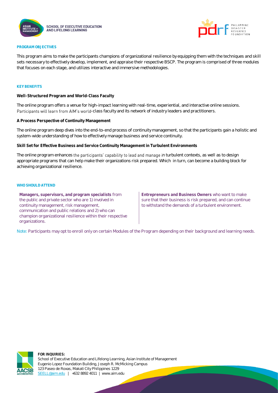



#### **PROGRAM OBJECTIVES**

This program aims to make the participants champions of organizational resilience by equipping them with the techniques and skill sets necessary to effectively develop, implement, and appraise their respective BSCP. The program is comprised of three modules that focuses on each stage, and utilizes interactive and immersive methodologies.

#### **KEY BENEFITS**

**Well-Structured Program and World-Class Faculty**

The online program offers a venue for high-impact learning with real-time, experiential, and interactive online sessions. Participants will learn from AIM's world-class faculty and its network of industry leaders and practitioners.

**A Process Perspective of Continuity Management**

The online program deep dives into the end-to-end process of continuity management, so that the participants gain a holistic and system-wide understanding of how to effectively manage business and service continuity.

**Skill Set for Effective Business and Service Continuity Management in Turbulent Environments**

The online program enhances the participants' capability to lead and manage in turbulent contexts, as well as to design appropriate programs that can help make their organizations risk prepared. Which in turn, can become a building block for achieving organizational resilience.

#### **WHO SHOULD ATTEND**

**Managers, supervisors, and program specialists** from the public and private sector who are 1) involved in continuity management, risk management, communication and public relations and 2) who can champion organizational resilience within their respective organizations.

**Entrepreneurs and Business Owners** who want to make sure that their business is risk prepared, and can continue to withstand the demands of a turbulent environment.

Note: Participants may opt to enroll only on certain Modules of the Program depending on their background and learning needs.



**FOR INQUIRIES:** School of Executive Education and Lifelong Learning, Asian Institute of Management Eugenio Lopez Foundation Building, Joseph R. McMicking Campus 123 Paseo de Roxas, Makati City Philippines 1229 [SEELL@aim.edu](mailto:SEELL@aim.edu) | +632 8892 4011 | www.aim.edu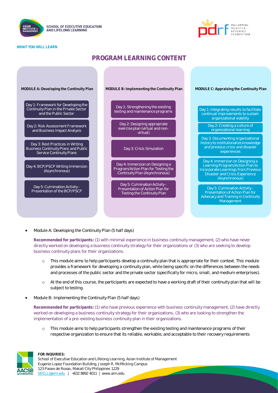





### **PROGRAM LEARNING CONTENT**



• Module A: Developing the Continuity Plan (5 half days)

**Recommended for participants:** (1) with minimal experience in business continuity management, (2) who have never directly worked on developing a business continuity strategy for their organizations or (3) who are seeking to develop business continuity plans for their organizations.

- o This module aims to help participants develop a continuity plan that is appropriate for their context. This module provides a framework for developing a continuity plan, while being specific on the differences between the needs and processes of the public sector and the private sector (specifically for micro, small, and medium enterprises).
- o At the end of this course, the participants are expected to have a working draft of their continuity plan that will be subject to testing.
- Module B: Implementing the Continuity Plan (5 half days)

**Recommended for participants:** (1) who have previous experience with business continuity management, (2) have directly worked on developing a business continuity strategy for their organizations, (3) who are looking to strengthen the implementation of a pre-existing business continuity plan in their organizations.

This module aims to help participants strengthen the existing testing and maintenance programs of their respective organization to ensure that its reliable, workable, and acceptable to their recovery requirements

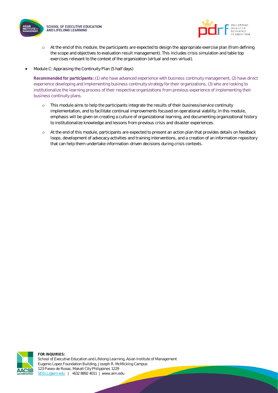



- o At the end of this module, the participants are expected to design the appropriate exercise plan (from defining the scope and objectives to evaluation result management). This includes crisis simulation and table top exercises relevant to the context of the organization (virtual and non-virtual).
- Module C: Appraising the Continuity Plan (5 half days)

**Recommended for participants:** (1) who have advanced experience with business continuity management, (2) have direct experience developing and implementing business continuity strategy for their organizations, (3) who are looking to institutionalize the learning process of their respective organizations from previous experience of implementing their business continuity plans.

- o This module aims to help the participants integrate the results of their business/service continuity implementation, and to facilitate continual improvements focused on operational viability. In this module, emphasis will be given on creating a culture of organizational learning, and documenting organizational history to institutionalize knowledge and lessons from previous crisis and disaster experiences.
- o At the end of this module, participants are expected to present an action plan that provides details on feedback loops, development of advocacy activities and training interventions, and a creation of an information repository that can help them undertake information-driven decisions during crisis contexts.

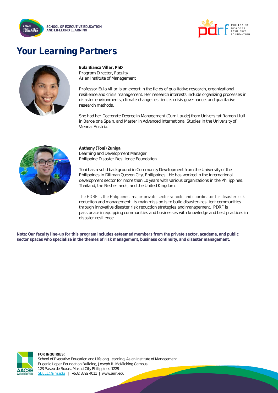



### **Your Learning Partners**



**Eula Bianca Villar, PhD** Program Director, Faculty Asian Institute of Management

Professor Eula Villar is an expert in the fields of qualitative research, organizational resilience and crisis management. Her research interests include organizing processes in disaster environments, climate change resilience, crisis governance, and qualitative research methods.

She had her Doctorate Degree in Management (Cum Laude) from Universitat Ramon Llull in Barcelona Spain, and Master in Advanced International Studies in the University of Vienna, Austria.



**Anthony (Toni) Zuniga** Learning and Development Manager Philippine Disaster Resilience Foundation

Toni has a solid background in Community Development from the University of the Philippines in Diliman Quezon City, Philippines. He has worked in the international development sector for more than 10 years with various organizations in the Philippines, Thailand, the Netherlands, and the United Kingdom.

The PDRF is the Phlippines' major private sector vehicle and coordinator for disaster risk reduction and management. Its main mission is to build disaster-resilient communities through innovative disaster risk reduction strategies and management. PDRF is passionate in equipping communities and businesses with knowledge and best practices in disaster resilience.

**Note: Our faculty line-up for this program includes esteemed members from the private sector, academe, and public sector spaces who specialize in the themes of risk management, business continuity, and disaster management.** 



**FOR INQUIRIES:** School of Executive Education and Lifelong Learning, Asian Institute of Management Eugenio Lopez Foundation Building, Joseph R. McMicking Campus 123 Paseo de Roxas, Makati City Philippines 1229 [SEELL@aim.edu](mailto:SEELL@aim.edu) | +632 8892 4011 | www.aim.edu